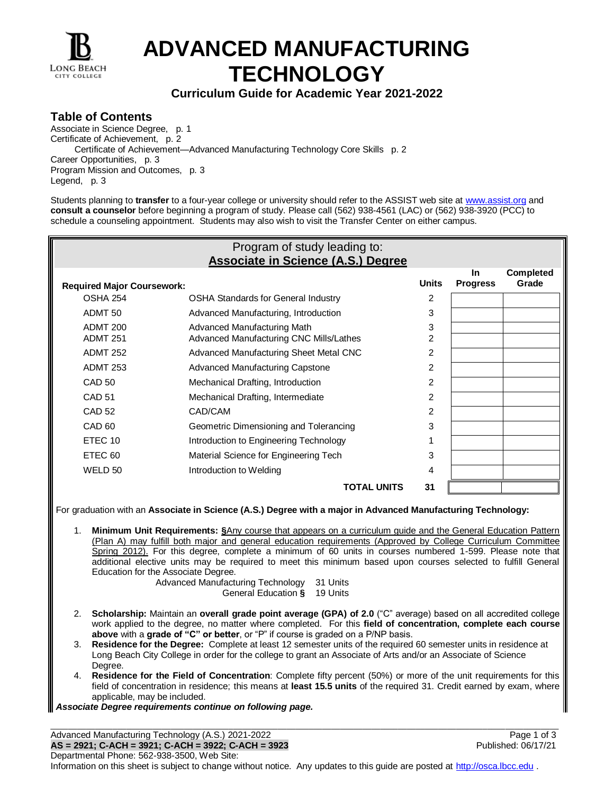

īF

# **ADVANCED MANUFACTURING TECHNOLOGY**

### **Curriculum Guide for Academic Year 2021-2022**

#### **Table of Contents**

Associate in Science Degree, p. 1 Certificate of Achievement, p. 2 Certificate of Achievement—Advanced Manufacturing Technology Core Skills p. 2 Career Opportunities, p. 3 Program Mission and Outcomes, p. 3 Legend, p. 3

Students planning to **transfer** to a four-year college or university should refer to the ASSIST web site at [www.assist.org](http://www.assist.org/) and **consult a counselor** before beginning a program of study. Please call (562) 938-4561 (LAC) or (562) 938-3920 (PCC) to schedule a counseling appointment. Students may also wish to visit the Transfer Center on either campus.

| Program of study leading to:<br><b>Associate in Science (A.S.) Degree</b>                                                                                                                                                                                                                                                                                                                                                                                                                                                                                                                                                                                                                                  |                                                                                                                                                                                                                                                                                                                                                                                                                                                                                                                                                                                                                                                                                                                                                                                                                                                                     |                |                       |                                    |  |  |  |
|------------------------------------------------------------------------------------------------------------------------------------------------------------------------------------------------------------------------------------------------------------------------------------------------------------------------------------------------------------------------------------------------------------------------------------------------------------------------------------------------------------------------------------------------------------------------------------------------------------------------------------------------------------------------------------------------------------|---------------------------------------------------------------------------------------------------------------------------------------------------------------------------------------------------------------------------------------------------------------------------------------------------------------------------------------------------------------------------------------------------------------------------------------------------------------------------------------------------------------------------------------------------------------------------------------------------------------------------------------------------------------------------------------------------------------------------------------------------------------------------------------------------------------------------------------------------------------------|----------------|-----------------------|------------------------------------|--|--|--|
| <b>Required Major Coursework:</b>                                                                                                                                                                                                                                                                                                                                                                                                                                                                                                                                                                                                                                                                          |                                                                                                                                                                                                                                                                                                                                                                                                                                                                                                                                                                                                                                                                                                                                                                                                                                                                     | <b>Units</b>   | In<br><b>Progress</b> | <b>Completed</b><br>Grade          |  |  |  |
| OSHA 254                                                                                                                                                                                                                                                                                                                                                                                                                                                                                                                                                                                                                                                                                                   | <b>OSHA Standards for General Industry</b>                                                                                                                                                                                                                                                                                                                                                                                                                                                                                                                                                                                                                                                                                                                                                                                                                          | 2              |                       |                                    |  |  |  |
| ADMT <sub>50</sub>                                                                                                                                                                                                                                                                                                                                                                                                                                                                                                                                                                                                                                                                                         | Advanced Manufacturing, Introduction                                                                                                                                                                                                                                                                                                                                                                                                                                                                                                                                                                                                                                                                                                                                                                                                                                | 3              |                       |                                    |  |  |  |
| <b>ADMT 200</b>                                                                                                                                                                                                                                                                                                                                                                                                                                                                                                                                                                                                                                                                                            | <b>Advanced Manufacturing Math</b>                                                                                                                                                                                                                                                                                                                                                                                                                                                                                                                                                                                                                                                                                                                                                                                                                                  | 3              |                       |                                    |  |  |  |
| <b>ADMT 251</b>                                                                                                                                                                                                                                                                                                                                                                                                                                                                                                                                                                                                                                                                                            | Advanced Manufacturing CNC Mills/Lathes                                                                                                                                                                                                                                                                                                                                                                                                                                                                                                                                                                                                                                                                                                                                                                                                                             | $\overline{2}$ |                       |                                    |  |  |  |
| <b>ADMT 252</b>                                                                                                                                                                                                                                                                                                                                                                                                                                                                                                                                                                                                                                                                                            | Advanced Manufacturing Sheet Metal CNC                                                                                                                                                                                                                                                                                                                                                                                                                                                                                                                                                                                                                                                                                                                                                                                                                              | $\overline{2}$ |                       |                                    |  |  |  |
| <b>ADMT 253</b>                                                                                                                                                                                                                                                                                                                                                                                                                                                                                                                                                                                                                                                                                            | <b>Advanced Manufacturing Capstone</b>                                                                                                                                                                                                                                                                                                                                                                                                                                                                                                                                                                                                                                                                                                                                                                                                                              | $\overline{2}$ |                       |                                    |  |  |  |
| <b>CAD 50</b>                                                                                                                                                                                                                                                                                                                                                                                                                                                                                                                                                                                                                                                                                              | Mechanical Drafting, Introduction                                                                                                                                                                                                                                                                                                                                                                                                                                                                                                                                                                                                                                                                                                                                                                                                                                   | 2              |                       |                                    |  |  |  |
| <b>CAD 51</b>                                                                                                                                                                                                                                                                                                                                                                                                                                                                                                                                                                                                                                                                                              | Mechanical Drafting, Intermediate                                                                                                                                                                                                                                                                                                                                                                                                                                                                                                                                                                                                                                                                                                                                                                                                                                   | $\overline{c}$ |                       |                                    |  |  |  |
| <b>CAD 52</b>                                                                                                                                                                                                                                                                                                                                                                                                                                                                                                                                                                                                                                                                                              | CAD/CAM                                                                                                                                                                                                                                                                                                                                                                                                                                                                                                                                                                                                                                                                                                                                                                                                                                                             | $\overline{c}$ |                       |                                    |  |  |  |
| CAD <sub>60</sub>                                                                                                                                                                                                                                                                                                                                                                                                                                                                                                                                                                                                                                                                                          | Geometric Dimensioning and Tolerancing                                                                                                                                                                                                                                                                                                                                                                                                                                                                                                                                                                                                                                                                                                                                                                                                                              | 3              |                       |                                    |  |  |  |
| ETEC 10                                                                                                                                                                                                                                                                                                                                                                                                                                                                                                                                                                                                                                                                                                    | Introduction to Engineering Technology                                                                                                                                                                                                                                                                                                                                                                                                                                                                                                                                                                                                                                                                                                                                                                                                                              | 1              |                       |                                    |  |  |  |
| ETEC <sub>60</sub>                                                                                                                                                                                                                                                                                                                                                                                                                                                                                                                                                                                                                                                                                         | Material Science for Engineering Tech                                                                                                                                                                                                                                                                                                                                                                                                                                                                                                                                                                                                                                                                                                                                                                                                                               | 3              |                       |                                    |  |  |  |
| WELD 50                                                                                                                                                                                                                                                                                                                                                                                                                                                                                                                                                                                                                                                                                                    | Introduction to Welding                                                                                                                                                                                                                                                                                                                                                                                                                                                                                                                                                                                                                                                                                                                                                                                                                                             | 4              |                       |                                    |  |  |  |
|                                                                                                                                                                                                                                                                                                                                                                                                                                                                                                                                                                                                                                                                                                            | <b>TOTAL UNITS</b>                                                                                                                                                                                                                                                                                                                                                                                                                                                                                                                                                                                                                                                                                                                                                                                                                                                  | 31             |                       |                                    |  |  |  |
| For graduation with an Associate in Science (A.S.) Degree with a major in Advanced Manufacturing Technology:<br>Minimum Unit Requirements: SAny course that appears on a curriculum guide and the General Education Pattern<br>1.<br>(Plan A) may fulfill both major and general education requirements (Approved by College Curriculum Committee<br>Spring 2012). For this degree, complete a minimum of 60 units in courses numbered 1-599. Please note that<br>additional elective units may be required to meet this minimum based upon courses selected to fulfill General<br>Education for the Associate Degree.<br>Advanced Manufacturing Technology<br>31 Units<br>General Education §<br>19 Units |                                                                                                                                                                                                                                                                                                                                                                                                                                                                                                                                                                                                                                                                                                                                                                                                                                                                     |                |                       |                                    |  |  |  |
| 2.<br>3.<br>Degree.<br>applicable, may be included.                                                                                                                                                                                                                                                                                                                                                                                                                                                                                                                                                                                                                                                        | Scholarship: Maintain an overall grade point average (GPA) of 2.0 ("C" average) based on all accredited college<br>work applied to the degree, no matter where completed. For this field of concentration, complete each course<br>above with a grade of "C" or better, or "P" if course is graded on a P/NP basis.<br>Residence for the Degree: Complete at least 12 semester units of the required 60 semester units in residence at<br>Long Beach City College in order for the college to grant an Associate of Arts and/or an Associate of Science<br>4. Residence for the Field of Concentration: Complete fifty percent (50%) or more of the unit requirements for this<br>field of concentration in residence; this means at least 15.5 units of the required 31. Credit earned by exam, where<br>Associate Degree requirements continue on following page. |                |                       |                                    |  |  |  |
|                                                                                                                                                                                                                                                                                                                                                                                                                                                                                                                                                                                                                                                                                                            | Advanced Manufacturing Technology (A.S.) 2021-2022<br>AS = 2921; C-ACH = 3921; C-ACH = 3922; C-ACH = 3923                                                                                                                                                                                                                                                                                                                                                                                                                                                                                                                                                                                                                                                                                                                                                           |                |                       | Page 1 of 3<br>Published: 06/17/21 |  |  |  |

Departmental Phone: 562-938-3500, Web Site: Information on this sheet is subject to change without notice. Any updates to this guide are posted at [http://osca.lbcc.edu](http://osca.lbcc.edu/) .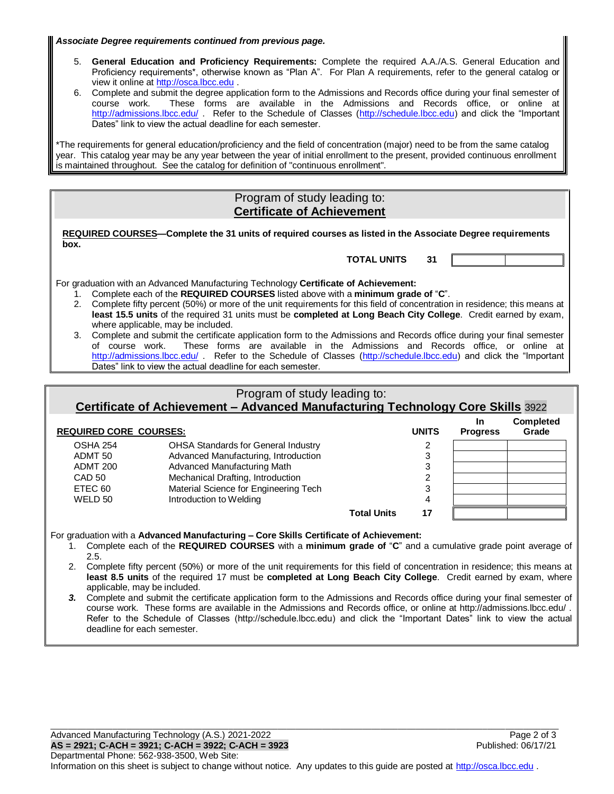*Associate Degree requirements continued from previous page.*

- 5. **General Education and Proficiency Requirements:** Complete the required A.A./A.S. General Education and Proficiency requirements<sup>\*</sup>, otherwise known as "Plan A". For Plan A requirements, refer to the general catalog or view it online at [http://osca.lbcc.edu](http://osca.lbcc.edu/) .
- 6. Complete and submit the degree application form to the Admissions and Records office during your final semester of course work. These forms are available in the Admissions and Records office, or online at <http://admissions.lbcc.edu/> . Refer to the Schedule of Classes [\(http://schedule.lbcc.edu\)](http://schedule.lbcc.edu/) and click the "Important Dates" link to view the actual deadline for each semester.

\*The requirements for general education/proficiency and the field of concentration (major) need to be from the same catalog year. This catalog year may be any year between the year of initial enrollment to the present, provided continuous enrollment is maintained throughout. See the catalog for definition of "continuous enrollment".

#### Program of study leading to: **Certificate of Achievement**

**REQUIRED COURSES—Complete the 31 units of required courses as listed in the Associate Degree requirements box.**

**TOTAL UNITS 31**

For graduation with an Advanced Manufacturing Technology **Certificate of Achievement:**

- 1. Complete each of the **REQUIRED COURSES** listed above with a **minimum grade of** "**C**".
- 2. Complete fifty percent (50%) or more of the unit requirements for this field of concentration in residence; this means at **least 15.5 units** of the required 31 units must be **completed at Long Beach City College**. Credit earned by exam, where applicable, may be included.
- 3. Complete and submit the certificate application form to the Admissions and Records office during your final semester of course work. These forms are available in the Admissions and Records office, or online at <http://admissions.lbcc.edu/> . Refer to the Schedule of Classes [\(http://schedule.lbcc.edu\)](http://schedule.lbcc.edu/) and click the "Important Dates" link to view the actual deadline for each semester.

### Program of study leading to: **Certificate of Achievement – Advanced Manufacturing Technology Core Skills** 3922

**REQUIRED CORE COURSES: UNITS In Progress Completed Grade** OSHA 254 OHSA Standards for General Industry 2 ADMT 50 Advanced Manufacturing, Introduction 3 ADMT 200 Advanced Manufacturing Math 3 CAD 50 Mechanical Drafting, Introduction 2 ETEC 60 Material Science for Engineering Tech 3 WELD 50 **Introduction to Welding 4** 4 4 **Total Units 17**

For graduation with a **Advanced Manufacturing – Core Skills Certificate of Achievement:**

- 1. Complete each of the **REQUIRED COURSES** with a **minimum grade of** "**C**" and a cumulative grade point average of 2.5.
- 2. Complete fifty percent (50%) or more of the unit requirements for this field of concentration in residence; this means at **least 8.5 units** of the required 17 must be **completed at Long Beach City College**. Credit earned by exam, where applicable, may be included.
- *3.* Complete and submit the certificate application form to the Admissions and Records office during your final semester of course work. These forms are available in the Admissions and Records office, or online at http://admissions.lbcc.edu/ . Refer to the Schedule of Classes (http://schedule.lbcc.edu) and click the "Important Dates" link to view the actual deadline for each semester.